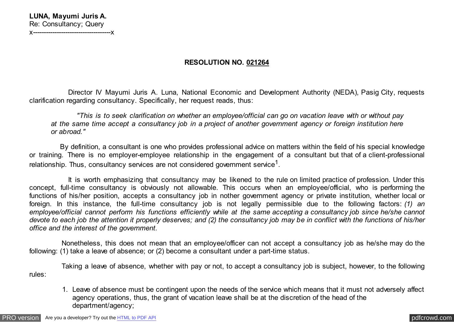## **RESOLUTION NO. 021264**

 Director IV Mayumi Juris A. Luna, National Economic and Development Authority (NEDA), Pasig City, requests clarification regarding consultancy. Specifically, her request reads, thus:

 *"This is to seek clarification on whether an employee/official can go on vacation leave with or without pay at the same time accept a consultancy job in a project of another government agency or foreign institution here or abroad."*

 By definition, a consultant is one who provides professional advice on matters within the field of his special knowledge or training. There is no employer-employee relationship in the engagement of a consultant but that of a client-professional relationship. Thus, consultancy services are not considered government service<sup>1</sup>.

 It is worth emphasizing that consultancy may be likened to the rule on limited practice of profession. Under this concept, full-time consultancy is obviously not allowable. This occurs when an employee/official, who is performing the functions of his/her position, accepts a consultancy job in nother government agency or private institution, whether local or foreign. In this instance, the full-time consultancy job is not legally permissible due to the following factors: *(1) an employee/official cannot perform his functions efficiently while at the same accepting a consultancy job since he/she cannot devote to each job the attention it properly deserves; and (2) the consultancy job may be in conflict with the functions of his/her office and the interest of the government.*

 Nonetheless, this does not mean that an employee/officer can not accept a consultancy job as he/she may do the following: (1) take a leave of absence; or (2) become a consultant under a part-time status.

 Taking a leave of absence, whether with pay or not, to accept a consultancy job is subject, however, to the following rules:

1. Leave of absence must be contingent upon the needs of the service which means that it must not adversely affect agency operations, thus, the grant of vacation leave shall be at the discretion of the head of the department/agency;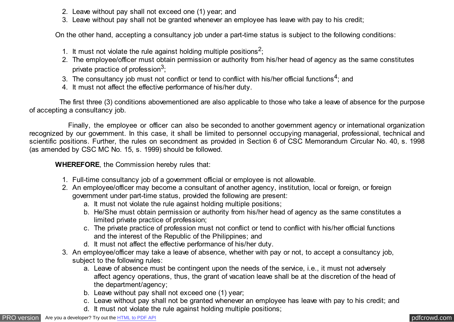- 2. Leave without pay shall not exceed one (1) year; and
- 3. Leave without pay shall not be granted whenever an employee has leave with pay to his credit;

On the other hand, accepting a consultancy job under a part-time status is subject to the following conditions:

- 1. It must not violate the rule against holding multiple positions<sup>2</sup>;
- 2. The employee/officer must obtain permission or authority from his/her head of agency as the same constitutes private practice of profession<sup>3</sup>;
- 3. The consultancy job must not conflict or tend to conflict with his/her official functions<sup>4</sup>; and
- 4. It must not affect the effective performance of his/her duty.

 The first three (3) conditions abovementioned are also applicable to those who take a leave of absence for the purpose of accepting a consultancy job.

 Finally, the employee or officer can also be seconded to another government agency or international organization recognized by our government. In this case, it shall be limited to personnel occupying managerial, professional, technical and scientific positions. Further, the rules on secondment as provided in Section 6 of CSC Memorandum Circular No. 40, s. 1998 (as amended by CSC MC No. 15, s. 1999) should be followed.

 **WHEREFORE**, the Commission hereby rules that:

- 1. Full-time consultancy job of a government official or employee is not allowable.
- 2. An employee/officer may become a consultant of another agency, institution, local or foreign, or foreign government under part-time status, provided the following are present:
	- a. It must not violate the rule against holding multiple positions;
	- b. He/She must obtain permission or authority from his/her head of agency as the same constitutes a limited private practice of profession;
	- c. The private practice of profession must not conflict or tend to conflict with his/her official functions and the interest of the Republic of the Philippines; and
	- d. It must not affect the effective performance of his/her duty.
- 3. An employee/officer may take a leave of absence, whether with pay or not, to accept a consultancy job, subject to the following rules:
	- a. Leave of absence must be contingent upon the needs of the service, i.e., it must not adversely affect agency operations, thus, the grant of vacation leave shall be at the discretion of the head of the department/agency;
	- b. Leave without pay shall not exceed one (1) year;
	- c. Leave without pay shall not be granted whenever an employee has leave with pay to his credit; and
	- d. It must not violate the rule against holding multiple positions;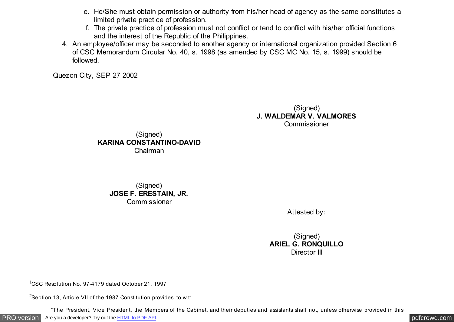- e. He/She must obtain permission or authority from his/her head of agency as the same constitutes a limited private practice of profession.
- f. The private practice of profession must not conflict or tend to conflict with his/her official functions and the interest of the Republic of the Philippines.
- 4. An employee/officer may be seconded to another agency or international organization provided Section 6 of CSC Memorandum Circular No. 40, s. 1998 (as amended by CSC MC No. 15, s. 1999) should be followed.

Quezon City, SEP 27 2002

(Signed) **J. WALDEMAR V. VALMORES** Commissioner



## (Signed) **JOSE F. ERESTAIN, JR.** Commissioner

Attested by:

(Signed) **ARIEL G. RONQUILLO** Director III

<sup>1</sup>CSC Resolution No. 97-4179 dated October 21, 1997

<sup>2</sup>Section 13, Article VII of the 1987 Constitution provides, to wit:

"The President, Vice President, the Members of the Cabinet, and their deputies and assistants shall not, unless otherwise provided in this

[PRO version](http://pdfcrowd.com/customize/) Are you a developer? Try out th[e HTML to PDF API](http://pdfcrowd.com/html-to-pdf-api/?ref=pdf) compared to the comparison of the HTML to PDF API